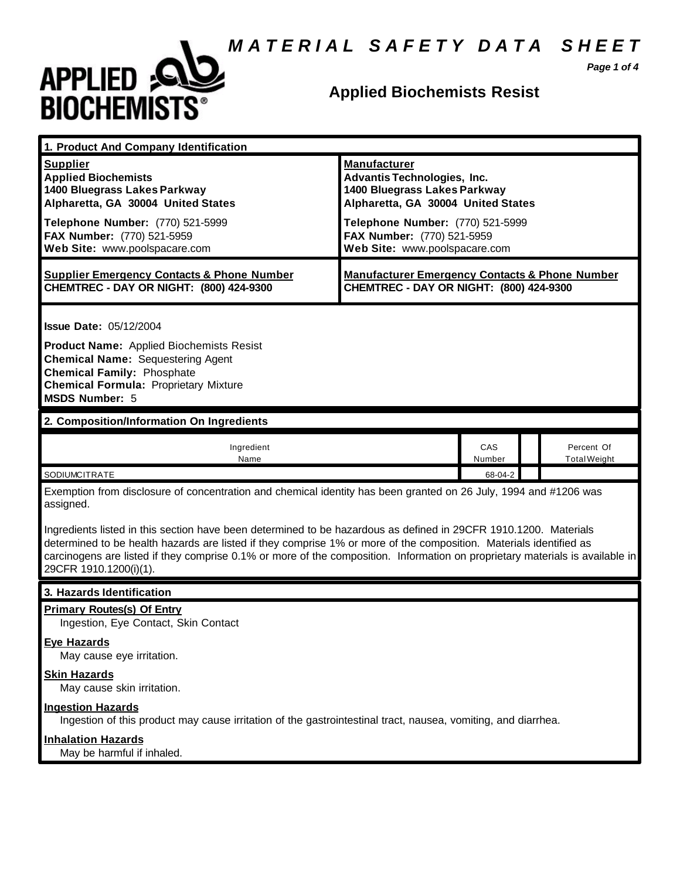*M A T E R I A L S A F E T Y D A T A S H E E T*



#### **Applied Biochemists Resist**

*Page 1 of 4*

| 1. Product And Company Identification                                                                                                                                                                                                                                                                                                                                                                                                                                                                                              |                                                                                                                                 |               |  |                                   |
|------------------------------------------------------------------------------------------------------------------------------------------------------------------------------------------------------------------------------------------------------------------------------------------------------------------------------------------------------------------------------------------------------------------------------------------------------------------------------------------------------------------------------------|---------------------------------------------------------------------------------------------------------------------------------|---------------|--|-----------------------------------|
| <b>Supplier</b><br><b>Applied Biochemists</b><br>1400 Bluegrass Lakes Parkway<br>Alpharetta, GA 30004 United States                                                                                                                                                                                                                                                                                                                                                                                                                | <b>Manufacturer</b><br><b>Advantis Technologies, Inc.</b><br>1400 Bluegrass Lakes Parkway<br>Alpharetta, GA 30004 United States |               |  |                                   |
| Telephone Number: (770) 521-5999<br>FAX Number: (770) 521-5959<br>Web Site: www.poolspacare.com                                                                                                                                                                                                                                                                                                                                                                                                                                    | Telephone Number: (770) 521-5999<br>FAX Number: (770) 521-5959<br>Web Site: www.poolspacare.com                                 |               |  |                                   |
| <b>Supplier Emergency Contacts &amp; Phone Number</b><br>CHEMTREC - DAY OR NIGHT: (800) 424-9300                                                                                                                                                                                                                                                                                                                                                                                                                                   | <b>Manufacturer Emergency Contacts &amp; Phone Number</b><br>CHEMTREC - DAY OR NIGHT: (800) 424-9300                            |               |  |                                   |
| <b>Issue Date: 05/12/2004</b><br><b>Product Name:</b> Applied Biochemists Resist<br><b>Chemical Name: Sequestering Agent</b><br><b>Chemical Family: Phosphate</b><br><b>Chemical Formula: Proprietary Mixture</b><br><b>MSDS Number: 5</b>                                                                                                                                                                                                                                                                                         |                                                                                                                                 |               |  |                                   |
| 2. Composition/Information On Ingredients                                                                                                                                                                                                                                                                                                                                                                                                                                                                                          |                                                                                                                                 |               |  |                                   |
| Ingredient<br>Name                                                                                                                                                                                                                                                                                                                                                                                                                                                                                                                 |                                                                                                                                 | CAS<br>Number |  | Percent Of<br><b>Total Weight</b> |
| SODIUMCITRATE                                                                                                                                                                                                                                                                                                                                                                                                                                                                                                                      |                                                                                                                                 | 68-04-2       |  |                                   |
| Exemption from disclosure of concentration and chemical identity has been granted on 26 July, 1994 and #1206 was<br>assigned.<br>Ingredients listed in this section have been determined to be hazardous as defined in 29CFR 1910.1200. Materials<br>determined to be health hazards are listed if they comprise 1% or more of the composition. Materials identified as<br>carcinogens are listed if they comprise 0.1% or more of the composition. Information on proprietary materials is available in<br>29CFR 1910.1200(i)(1). |                                                                                                                                 |               |  |                                   |
| 3. Hazards Identification                                                                                                                                                                                                                                                                                                                                                                                                                                                                                                          |                                                                                                                                 |               |  |                                   |
| <b>Primary Routes(s) Of Entry</b><br>Ingestion, Eye Contact, Skin Contact                                                                                                                                                                                                                                                                                                                                                                                                                                                          |                                                                                                                                 |               |  |                                   |
| <b>Eye Hazards</b><br>May cause eye irritation.                                                                                                                                                                                                                                                                                                                                                                                                                                                                                    |                                                                                                                                 |               |  |                                   |
| <b>Skin Hazards</b><br>May cause skin irritation.                                                                                                                                                                                                                                                                                                                                                                                                                                                                                  |                                                                                                                                 |               |  |                                   |
| <b>Ingestion Hazards</b><br>Ingestion of this product may cause irritation of the gastrointestinal tract, nausea, vomiting, and diarrhea.                                                                                                                                                                                                                                                                                                                                                                                          |                                                                                                                                 |               |  |                                   |
| <b>Inhalation Hazards</b><br>May be harmful if inhaled.                                                                                                                                                                                                                                                                                                                                                                                                                                                                            |                                                                                                                                 |               |  |                                   |
|                                                                                                                                                                                                                                                                                                                                                                                                                                                                                                                                    |                                                                                                                                 |               |  |                                   |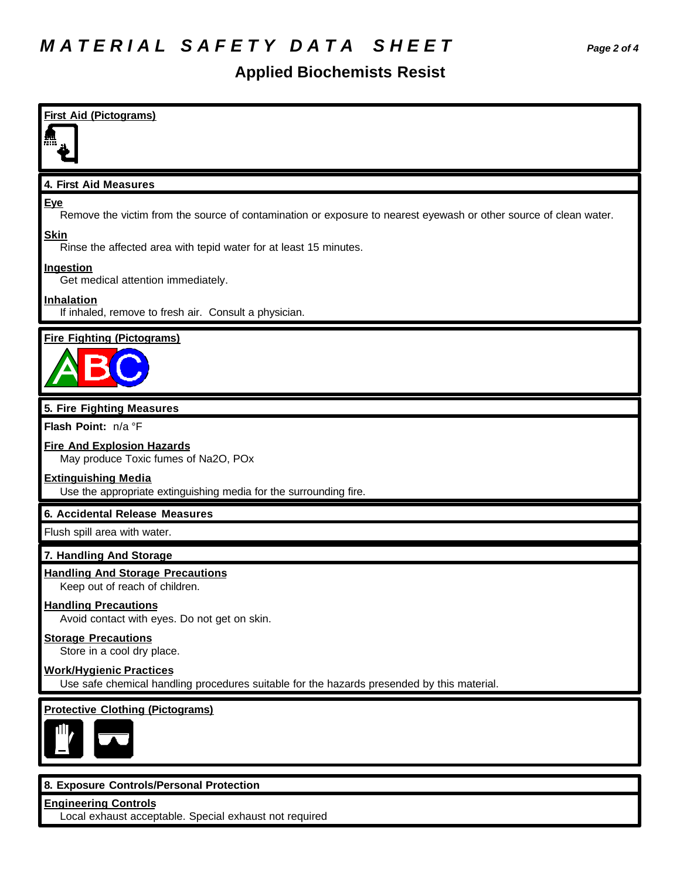#### **Applied Biochemists Resist**

| <b>First Aid (Pictograms)</b>                                                                                                   |
|---------------------------------------------------------------------------------------------------------------------------------|
|                                                                                                                                 |
| 4. First Aid Measures                                                                                                           |
| <b>Eye</b><br>Remove the victim from the source of contamination or exposure to nearest eyewash or other source of clean water. |
| <b>Skin</b><br>Rinse the affected area with tepid water for at least 15 minutes.                                                |
| Ingestion<br>Get medical attention immediately.                                                                                 |
| <b>Inhalation</b><br>If inhaled, remove to fresh air. Consult a physician.                                                      |
| <b>Fire Fighting (Pictograms)</b>                                                                                               |
|                                                                                                                                 |
| 5. Fire Fighting Measures                                                                                                       |
| Flash Point: n/a °F                                                                                                             |
| <b>Fire And Explosion Hazards</b><br>May produce Toxic fumes of Na2O, POx                                                       |
| <b>Extinguishing Media</b><br>Use the appropriate extinguishing media for the surrounding fire.                                 |
| 6. Accidental Release Measures                                                                                                  |
| Flush spill area with water.                                                                                                    |
| 7. Handling And Storage                                                                                                         |
| <b>Handling And Storage Precautions</b><br>Keep out of reach of children.                                                       |
| <b>Handling Precautions</b><br>Avoid contact with eyes. Do not get on skin.                                                     |
| <b>Storage Precautions</b><br>Store in a cool dry place.                                                                        |
| <b>Work/Hygienic Practices</b><br>Use safe chemical handling procedures suitable for the hazards presended by this material.    |
| <b>Protective Clothing (Pictograms)</b>                                                                                         |
|                                                                                                                                 |
|                                                                                                                                 |
| 8. Exposure Controls/Personal Protection<br><b>Engineering Controls</b>                                                         |
|                                                                                                                                 |

**Engineering Controls** Local exhaust acceptable. Special exhaust not required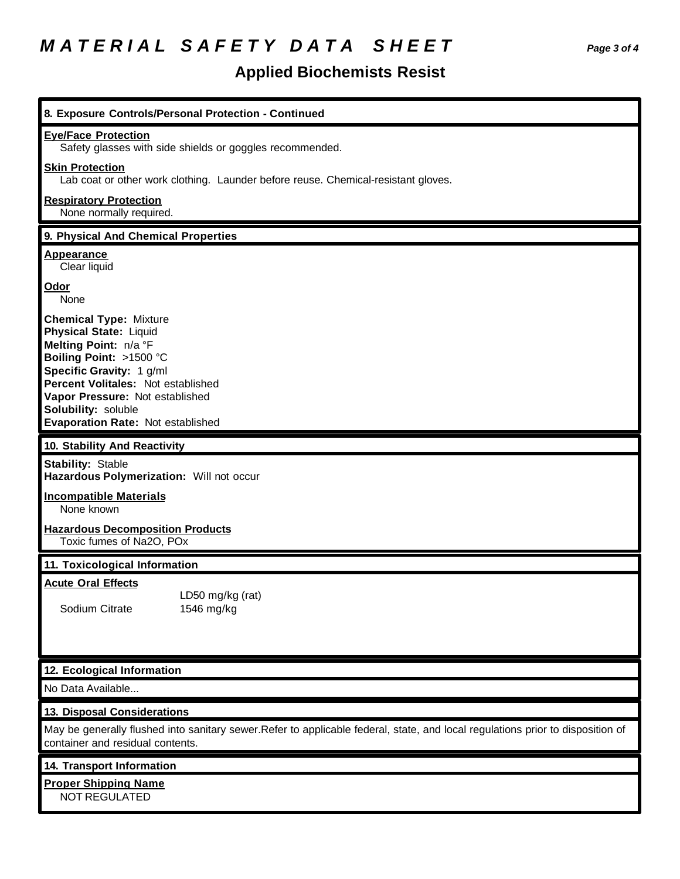## *M A T E R I A L S A F E T Y D A T A S H E E T Page 3 of 4*

### **Applied Biochemists Resist**

| 8. Exposure Controls/Personal Protection - Continued                                                                                                                                                                                                                                |
|-------------------------------------------------------------------------------------------------------------------------------------------------------------------------------------------------------------------------------------------------------------------------------------|
| <b>Eye/Face Protection</b><br>Safety glasses with side shields or goggles recommended.                                                                                                                                                                                              |
| <b>Skin Protection</b><br>Lab coat or other work clothing. Launder before reuse. Chemical-resistant gloves.                                                                                                                                                                         |
| <b>Respiratory Protection</b><br>None normally required.                                                                                                                                                                                                                            |
| 9. Physical And Chemical Properties                                                                                                                                                                                                                                                 |
| <b>Appearance</b><br>Clear liquid                                                                                                                                                                                                                                                   |
| Odor<br>None                                                                                                                                                                                                                                                                        |
| <b>Chemical Type: Mixture</b><br><b>Physical State: Liquid</b><br>Melting Point: n/a °F<br>Boiling Point: >1500 °C<br>Specific Gravity: 1 g/ml<br>Percent Volitales: Not established<br>Vapor Pressure: Not established<br>Solubility: soluble<br>Evaporation Rate: Not established |
| 10. Stability And Reactivity                                                                                                                                                                                                                                                        |
| <b>Stability: Stable</b><br>Hazardous Polymerization: Will not occur                                                                                                                                                                                                                |
| <b>Incompatible Materials</b><br>None known                                                                                                                                                                                                                                         |
| <b>Hazardous Decomposition Products</b><br>Toxic fumes of Na2O, POx                                                                                                                                                                                                                 |
| 11. Toxicological Information                                                                                                                                                                                                                                                       |
| <b>Acute Oral Effects</b><br>LD50 mg/kg (rat)<br>Sodium Citrate<br>1546 mg/kg                                                                                                                                                                                                       |
| 12. Ecological Information                                                                                                                                                                                                                                                          |
| No Data Available                                                                                                                                                                                                                                                                   |
| 13. Disposal Considerations                                                                                                                                                                                                                                                         |
| May be generally flushed into sanitary sewer. Refer to applicable federal, state, and local regulations prior to disposition of<br>container and residual contents.                                                                                                                 |
| <b>14. Transport Information</b>                                                                                                                                                                                                                                                    |
| <b>Proper Shipping Name</b><br>NOT REGULATED                                                                                                                                                                                                                                        |